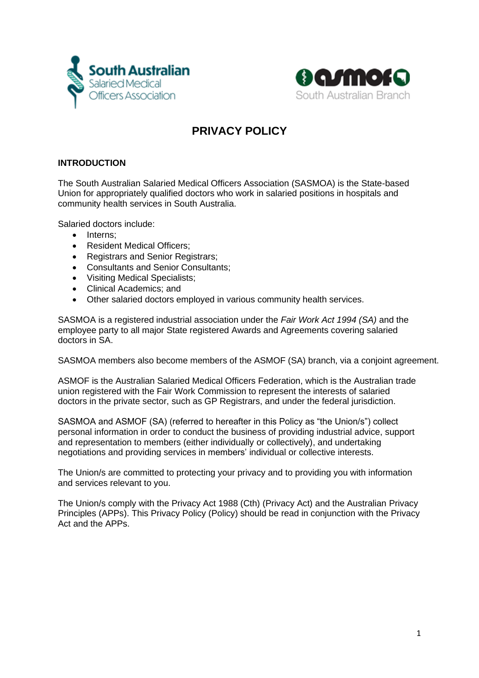



# **PRIVACY POLICY**

## **INTRODUCTION**

The South Australian Salaried Medical Officers Association (SASMOA) is the State-based Union for appropriately qualified doctors who work in salaried positions in hospitals and community health services in South Australia.

Salaried doctors include:

- Interns;
- Resident Medical Officers;
- Registrars and Senior Registrars;
- Consultants and Senior Consultants;
- Visiting Medical Specialists;
- Clinical Academics; and
- Other salaried doctors employed in various community health services.

SASMOA is a registered industrial association under the *Fair Work Act 1994 (SA)* and the employee party to all major State registered Awards and Agreements covering salaried doctors in SA.

SASMOA members also become members of the ASMOF (SA) branch, via a conjoint agreement.

ASMOF is the Australian Salaried Medical Officers Federation, which is the Australian trade union registered with the Fair Work Commission to represent the interests of salaried doctors in the private sector, such as GP Registrars, and under the federal jurisdiction.

SASMOA and ASMOF (SA) (referred to hereafter in this Policy as "the Union/s") collect personal information in order to conduct the business of providing industrial advice, support and representation to members (either individually or collectively), and undertaking negotiations and providing services in members' individual or collective interests.

The Union/s are committed to protecting your privacy and to providing you with information and services relevant to you.

The Union/s comply with the Privacy Act 1988 (Cth) (Privacy Act) and the Australian Privacy Principles (APPs). This Privacy Policy (Policy) should be read in conjunction with the Privacy Act and the APPs.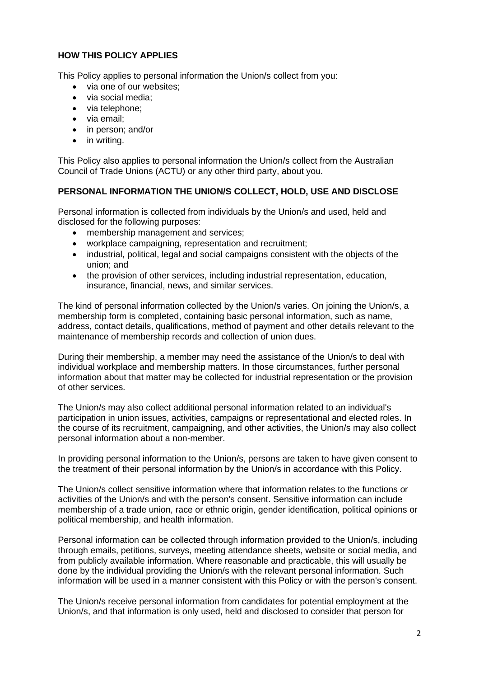## **HOW THIS POLICY APPLIES**

This Policy applies to personal information the Union/s collect from you:

- via one of our websites;
- via social media;
- via telephone:
- via email;
- in person; and/or
- in writing.

This Policy also applies to personal information the Union/s collect from the Australian Council of Trade Unions (ACTU) or any other third party, about you.

#### **PERSONAL INFORMATION THE UNION/S COLLECT, HOLD, USE AND DISCLOSE**

Personal information is collected from individuals by the Union/s and used, held and disclosed for the following purposes:

- membership management and services;
- workplace campaigning, representation and recruitment;
- industrial, political, legal and social campaigns consistent with the objects of the union; and
- the provision of other services, including industrial representation, education, insurance, financial, news, and similar services.

The kind of personal information collected by the Union/s varies. On joining the Union/s, a membership form is completed, containing basic personal information, such as name, address, contact details, qualifications, method of payment and other details relevant to the maintenance of membership records and collection of union dues.

During their membership, a member may need the assistance of the Union/s to deal with individual workplace and membership matters. In those circumstances, further personal information about that matter may be collected for industrial representation or the provision of other services.

The Union/s may also collect additional personal information related to an individual's participation in union issues, activities, campaigns or representational and elected roles. In the course of its recruitment, campaigning, and other activities, the Union/s may also collect personal information about a non-member.

In providing personal information to the Union/s, persons are taken to have given consent to the treatment of their personal information by the Union/s in accordance with this Policy.

The Union/s collect sensitive information where that information relates to the functions or activities of the Union/s and with the person's consent. Sensitive information can include membership of a trade union, race or ethnic origin, gender identification, political opinions or political membership, and health information.

Personal information can be collected through information provided to the Union/s, including through emails, petitions, surveys, meeting attendance sheets, website or social media, and from publicly available information. Where reasonable and practicable, this will usually be done by the individual providing the Union/s with the relevant personal information. Such information will be used in a manner consistent with this Policy or with the person's consent.

The Union/s receive personal information from candidates for potential employment at the Union/s, and that information is only used, held and disclosed to consider that person for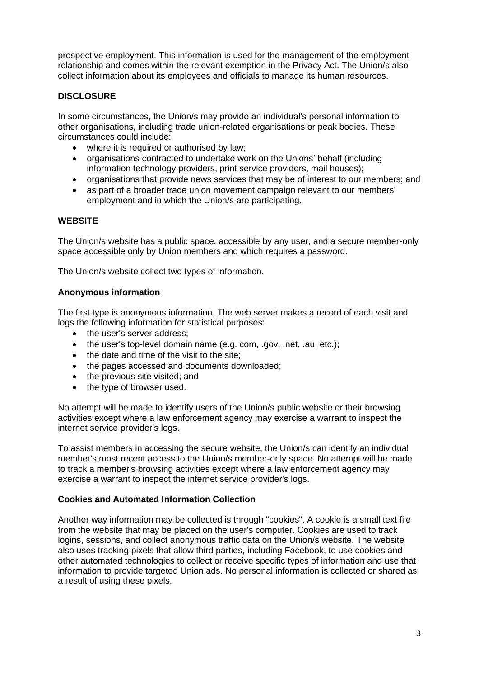prospective employment. This information is used for the management of the employment relationship and comes within the relevant exemption in the Privacy Act. The Union/s also collect information about its employees and officials to manage its human resources.

## **DISCLOSURE**

In some circumstances, the Union/s may provide an individual's personal information to other organisations, including trade union-related organisations or peak bodies. These circumstances could include:

- where it is required or authorised by law;
- organisations contracted to undertake work on the Unions' behalf (including information technology providers, print service providers, mail houses);
- organisations that provide news services that may be of interest to our members; and
- as part of a broader trade union movement campaign relevant to our members' employment and in which the Union/s are participating.

### **WEBSITE**

The Union/s website has a public space, accessible by any user, and a secure member-only space accessible only by Union members and which requires a password.

The Union/s website collect two types of information.

### **Anonymous information**

The first type is anonymous information. The web server makes a record of each visit and logs the following information for statistical purposes:

- the user's server address:
- the user's top-level domain name (e.g. com, .gov, .net, .au, etc.);
- the date and time of the visit to the site;
- the pages accessed and documents downloaded;
- the previous site visited; and
- the type of browser used.

No attempt will be made to identify users of the Union/s public website or their browsing activities except where a law enforcement agency may exercise a warrant to inspect the internet service provider's logs.

To assist members in accessing the secure website, the Union/s can identify an individual member's most recent access to the Union/s member-only space. No attempt will be made to track a member's browsing activities except where a law enforcement agency may exercise a warrant to inspect the internet service provider's logs.

### **Cookies and Automated Information Collection**

Another way information may be collected is through "cookies". A cookie is a small text file from the website that may be placed on the user's computer. Cookies are used to track logins, sessions, and collect anonymous traffic data on the Union/s website. The website also uses tracking pixels that allow third parties, including Facebook, to use cookies and other automated technologies to collect or receive specific types of information and use that information to provide targeted Union ads. No personal information is collected or shared as a result of using these pixels.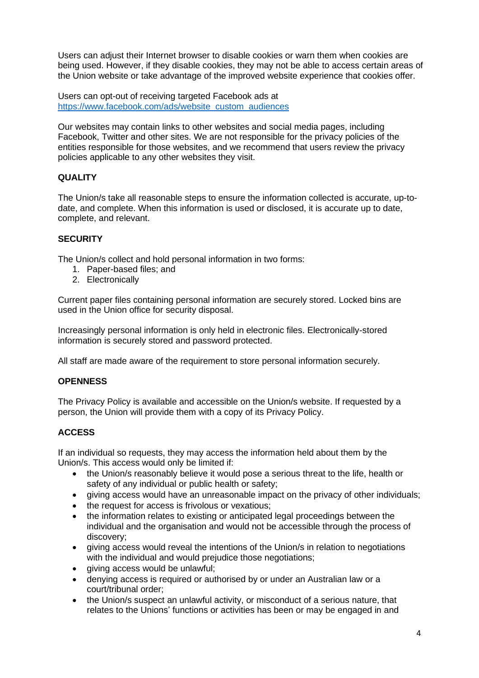Users can adjust their Internet browser to disable cookies or warn them when cookies are being used. However, if they disable cookies, they may not be able to access certain areas of the Union website or take advantage of the improved website experience that cookies offer.

Users can opt-out of receiving targeted Facebook ads at [https://www.facebook.com/ads/website\\_custom\\_audiences](https://www.facebook.com/ads/website_custom_audiences)

Our websites may contain links to other websites and social media pages, including Facebook, Twitter and other sites. We are not responsible for the privacy policies of the entities responsible for those websites, and we recommend that users review the privacy policies applicable to any other websites they visit.

## **QUALITY**

The Union/s take all reasonable steps to ensure the information collected is accurate, up-todate, and complete. When this information is used or disclosed, it is accurate up to date, complete, and relevant.

## **SECURITY**

The Union/s collect and hold personal information in two forms:

- 1. Paper-based files; and
- 2. Electronically

Current paper files containing personal information are securely stored. Locked bins are used in the Union office for security disposal.

Increasingly personal information is only held in electronic files. Electronically-stored information is securely stored and password protected.

All staff are made aware of the requirement to store personal information securely.

### **OPENNESS**

The Privacy Policy is available and accessible on the Union/s website. If requested by a person, the Union will provide them with a copy of its Privacy Policy.

## **ACCESS**

If an individual so requests, they may access the information held about them by the Union/s. This access would only be limited if:

- the Union/s reasonably believe it would pose a serious threat to the life, health or safety of any individual or public health or safety;
- giving access would have an unreasonable impact on the privacy of other individuals;
- the request for access is frivolous or vexatious:
- the information relates to existing or anticipated legal proceedings between the individual and the organisation and would not be accessible through the process of discovery;
- giving access would reveal the intentions of the Union/s in relation to negotiations with the individual and would prejudice those negotiations;
- giving access would be unlawful;
- denying access is required or authorised by or under an Australian law or a court/tribunal order;
- the Union/s suspect an unlawful activity, or misconduct of a serious nature, that relates to the Unions' functions or activities has been or may be engaged in and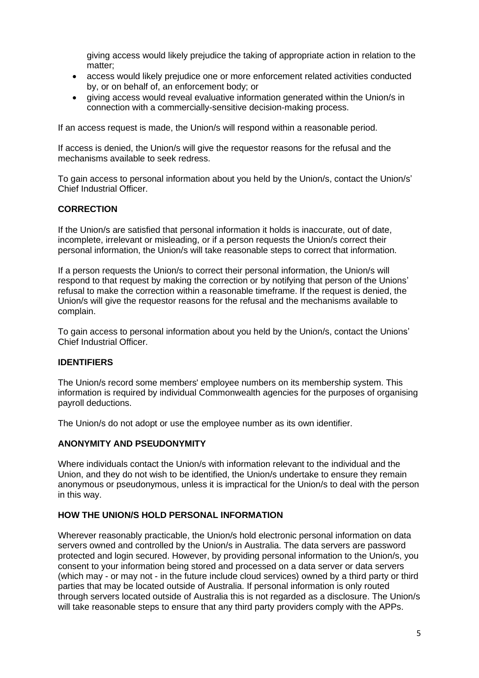giving access would likely prejudice the taking of appropriate action in relation to the matter;

- access would likely prejudice one or more enforcement related activities conducted by, or on behalf of, an enforcement body; or
- giving access would reveal evaluative information generated within the Union/s in connection with a commercially-sensitive decision-making process.

If an access request is made, the Union/s will respond within a reasonable period.

If access is denied, the Union/s will give the requestor reasons for the refusal and the mechanisms available to seek redress.

To gain access to personal information about you held by the Union/s, contact the Union/s' Chief Industrial Officer.

### **CORRECTION**

If the Union/s are satisfied that personal information it holds is inaccurate, out of date, incomplete, irrelevant or misleading, or if a person requests the Union/s correct their personal information, the Union/s will take reasonable steps to correct that information.

If a person requests the Union/s to correct their personal information, the Union/s will respond to that request by making the correction or by notifying that person of the Unions' refusal to make the correction within a reasonable timeframe. If the request is denied, the Union/s will give the requestor reasons for the refusal and the mechanisms available to complain.

To gain access to personal information about you held by the Union/s, contact the Unions' Chief Industrial Officer.

### **IDENTIFIERS**

The Union/s record some members' employee numbers on its membership system. This information is required by individual Commonwealth agencies for the purposes of organising payroll deductions.

The Union/s do not adopt or use the employee number as its own identifier.

#### **ANONYMITY AND PSEUDONYMITY**

Where individuals contact the Union/s with information relevant to the individual and the Union, and they do not wish to be identified, the Union/s undertake to ensure they remain anonymous or pseudonymous, unless it is impractical for the Union/s to deal with the person in this way.

### **HOW THE UNION/S HOLD PERSONAL INFORMATION**

Wherever reasonably practicable, the Union/s hold electronic personal information on data servers owned and controlled by the Union/s in Australia. The data servers are password protected and login secured. However, by providing personal information to the Union/s, you consent to your information being stored and processed on a data server or data servers (which may - or may not - in the future include cloud services) owned by a third party or third parties that may be located outside of Australia. If personal information is only routed through servers located outside of Australia this is not regarded as a disclosure. The Union/s will take reasonable steps to ensure that any third party providers comply with the APPs.